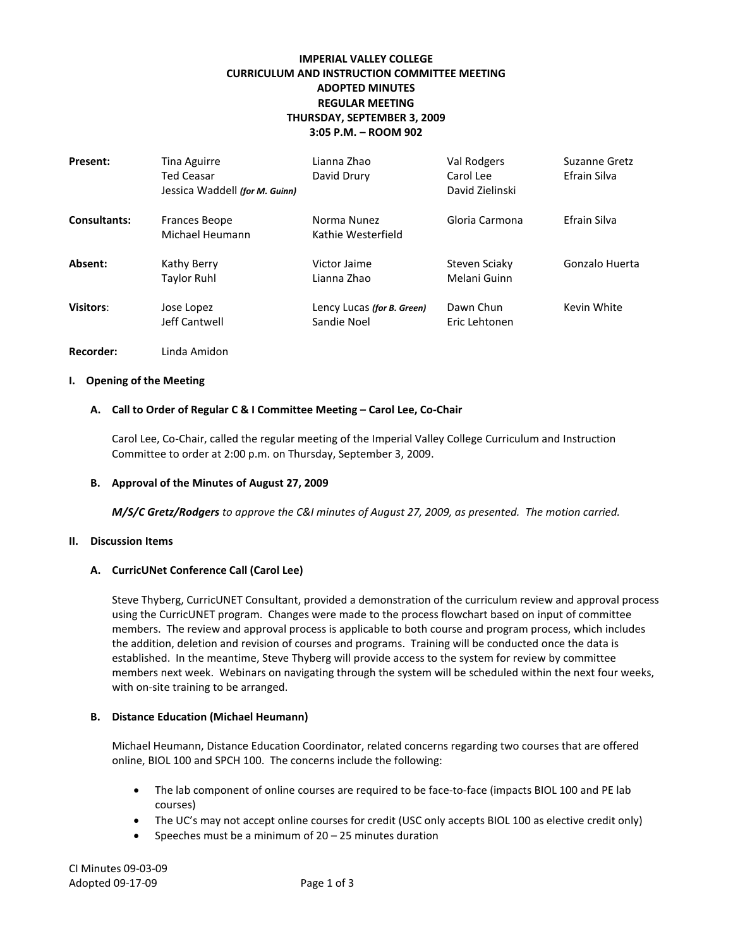# **IMPERIAL VALLEY COLLEGE CURRICULUM AND INSTRUCTION COMMITTEE MEETING ADOPTED MINUTES REGULAR MEETING THURSDAY, SEPTEMBER 3, 2009 3:05 P.M. – ROOM 902**

| <b>Present:</b>     | Tina Aguirre<br><b>Ted Ceasar</b><br>Jessica Waddell (for M. Guinn) | Lianna Zhao<br>David Drury                | Val Rodgers<br>Carol Lee<br>David Zielinski | Suzanne Gretz<br>Efrain Silva |
|---------------------|---------------------------------------------------------------------|-------------------------------------------|---------------------------------------------|-------------------------------|
| <b>Consultants:</b> | <b>Frances Beope</b><br>Michael Heumann                             | Norma Nunez<br>Kathie Westerfield         | Gloria Carmona                              | Efrain Silva                  |
| Absent:             | Kathy Berry<br>Taylor Ruhl                                          | Victor Jaime<br>Lianna Zhao               | Steven Sciaky<br>Melani Guinn               | Gonzalo Huerta                |
| <b>Visitors:</b>    | Jose Lopez<br>Jeff Cantwell                                         | Lency Lucas (for B. Green)<br>Sandie Noel | Dawn Chun<br>Eric Lehtonen                  | Kevin White                   |

## **Recorder:** Linda Amidon

## **I. Opening of the Meeting**

## **A. Call to Order of Regular C & I Committee Meeting – Carol Lee, Co-Chair**

Carol Lee, Co-Chair, called the regular meeting of the Imperial Valley College Curriculum and Instruction Committee to order at 2:00 p.m. on Thursday, September 3, 2009.

## **B. Approval of the Minutes of August 27, 2009**

*M/S/C Gretz/Rodgers to approve the C&I minutes of August 27, 2009, as presented. The motion carried.*

#### **II. Discussion Items**

## **A. CurricUNet Conference Call (Carol Lee)**

Steve Thyberg, CurricUNET Consultant, provided a demonstration of the curriculum review and approval process using the CurricUNET program. Changes were made to the process flowchart based on input of committee members. The review and approval process is applicable to both course and program process, which includes the addition, deletion and revision of courses and programs. Training will be conducted once the data is established. In the meantime, Steve Thyberg will provide access to the system for review by committee members next week. Webinars on navigating through the system will be scheduled within the next four weeks, with on-site training to be arranged.

## **B. Distance Education (Michael Heumann)**

Michael Heumann, Distance Education Coordinator, related concerns regarding two courses that are offered online, BIOL 100 and SPCH 100. The concerns include the following:

- The lab component of online courses are required to be face-to-face (impacts BIOL 100 and PE lab courses)
- The UC's may not accept online courses for credit (USC only accepts BIOL 100 as elective credit only)
- Speeches must be a minimum of  $20 25$  minutes duration

CI Minutes 09-03-09 Adopted 09-17-09 Page 1 of 3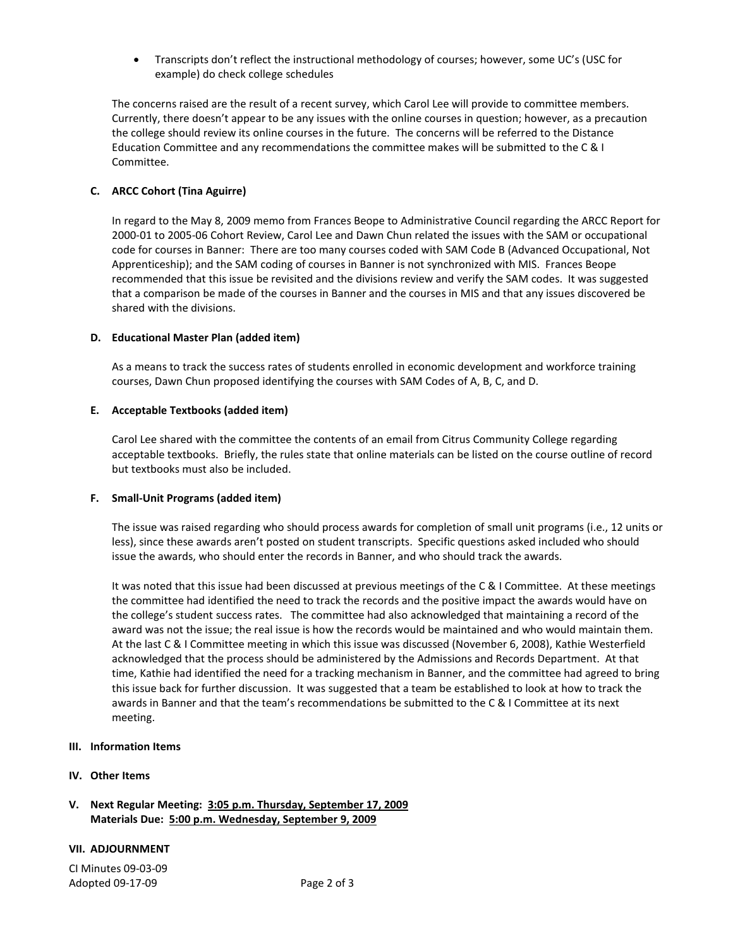• Transcripts don't reflect the instructional methodology of courses; however, some UC's (USC for example) do check college schedules

The concerns raised are the result of a recent survey, which Carol Lee will provide to committee members. Currently, there doesn't appear to be any issues with the online courses in question; however, as a precaution the college should review its online courses in the future. The concerns will be referred to the Distance Education Committee and any recommendations the committee makes will be submitted to the C & I Committee.

## **C. ARCC Cohort (Tina Aguirre)**

In regard to the May 8, 2009 memo from Frances Beope to Administrative Council regarding the ARCC Report for 2000-01 to 2005-06 Cohort Review, Carol Lee and Dawn Chun related the issues with the SAM or occupational code for courses in Banner: There are too many courses coded with SAM Code B (Advanced Occupational, Not Apprenticeship); and the SAM coding of courses in Banner is not synchronized with MIS. Frances Beope recommended that this issue be revisited and the divisions review and verify the SAM codes. It was suggested that a comparison be made of the courses in Banner and the courses in MIS and that any issues discovered be shared with the divisions.

## **D. Educational Master Plan (added item)**

As a means to track the success rates of students enrolled in economic development and workforce training courses, Dawn Chun proposed identifying the courses with SAM Codes of A, B, C, and D.

#### **E. Acceptable Textbooks (added item)**

Carol Lee shared with the committee the contents of an email from Citrus Community College regarding acceptable textbooks. Briefly, the rules state that online materials can be listed on the course outline of record but textbooks must also be included.

## **F. Small-Unit Programs (added item)**

The issue was raised regarding who should process awards for completion of small unit programs (i.e., 12 units or less), since these awards aren't posted on student transcripts. Specific questions asked included who should issue the awards, who should enter the records in Banner, and who should track the awards.

It was noted that this issue had been discussed at previous meetings of the C & I Committee. At these meetings the committee had identified the need to track the records and the positive impact the awards would have on the college's student success rates. The committee had also acknowledged that maintaining a record of the award was not the issue; the real issue is how the records would be maintained and who would maintain them. At the last C & I Committee meeting in which this issue was discussed (November 6, 2008), Kathie Westerfield acknowledged that the process should be administered by the Admissions and Records Department. At that time, Kathie had identified the need for a tracking mechanism in Banner, and the committee had agreed to bring this issue back for further discussion. It was suggested that a team be established to look at how to track the awards in Banner and that the team's recommendations be submitted to the C & I Committee at its next meeting.

#### **III. Information Items**

## **IV. Other Items**

## **V. Next Regular Meeting: 3:05 p.m. Thursday, September 17, 2009 Materials Due: 5:00 p.m. Wednesday, September 9, 2009**

## **VII. ADJOURNMENT**

CI Minutes 09-03-09 Adopted 09-17-09 **Page 2 of 3**